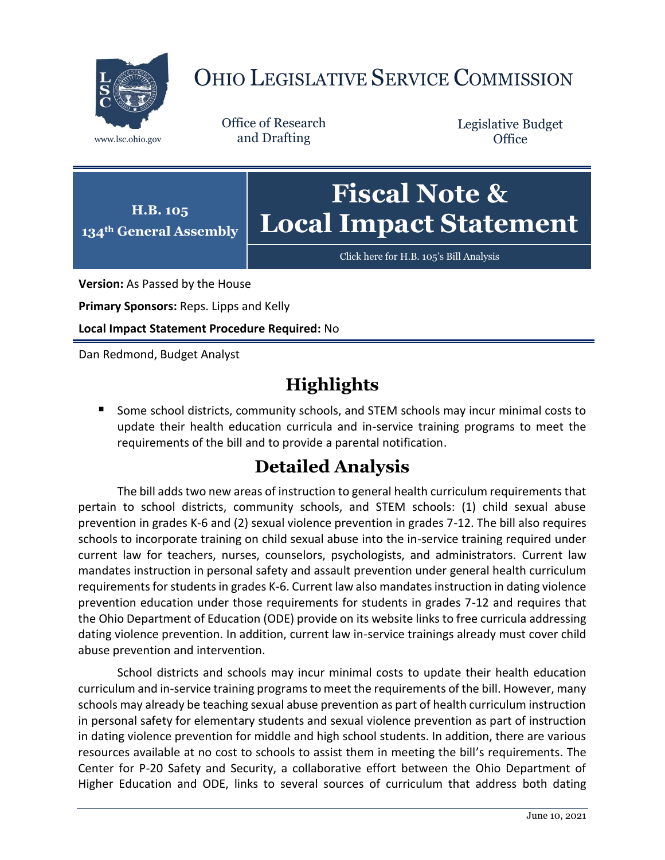

## OHIO LEGISLATIVE SERVICE COMMISSION

Office of Research www.lsc.ohio.gov and Drafting

Legislative Budget **Office** 



[Click here for H.B. 105](https://www.legislature.ohio.gov/legislation/legislation-documents?id=GA134-HB-105)'s Bill Analysis

**Version:** As Passed by the House

**Primary Sponsors:** Reps. Lipps and Kelly

**Local Impact Statement Procedure Required:** No

Dan Redmond, Budget Analyst

## **Highlights**

■ Some school districts, community schools, and STEM schools may incur minimal costs to update their health education curricula and in-service training programs to meet the requirements of the bill and to provide a parental notification.

## **Detailed Analysis**

The bill adds two new areas of instruction to general health curriculum requirements that pertain to school districts, community schools, and STEM schools: (1) child sexual abuse prevention in grades K-6 and (2) sexual violence prevention in grades 7-12. The bill also requires schools to incorporate training on child sexual abuse into the in-service training required under current law for teachers, nurses, counselors, psychologists, and administrators. Current law mandates instruction in personal safety and assault prevention under general health curriculum requirements for students in grades K-6. Current law also mandates instruction in dating violence prevention education under those requirements for students in grades 7-12 and requires that the Ohio Department of Education (ODE) provide on its website links to free curricula addressing dating violence prevention. In addition, current law in-service trainings already must cover child abuse prevention and intervention.

School districts and schools may incur minimal costs to update their health education curriculum and in-service training programs to meet the requirements of the bill. However, many schools may already be teaching sexual abuse prevention as part of health curriculum instruction in personal safety for elementary students and sexual violence prevention as part of instruction in dating violence prevention for middle and high school students. In addition, there are various resources available at no cost to schools to assist them in meeting the bill's requirements. The Center for P-20 Safety and Security, a collaborative effort between the Ohio Department of Higher Education and ODE, links to several sources of curriculum that address both dating